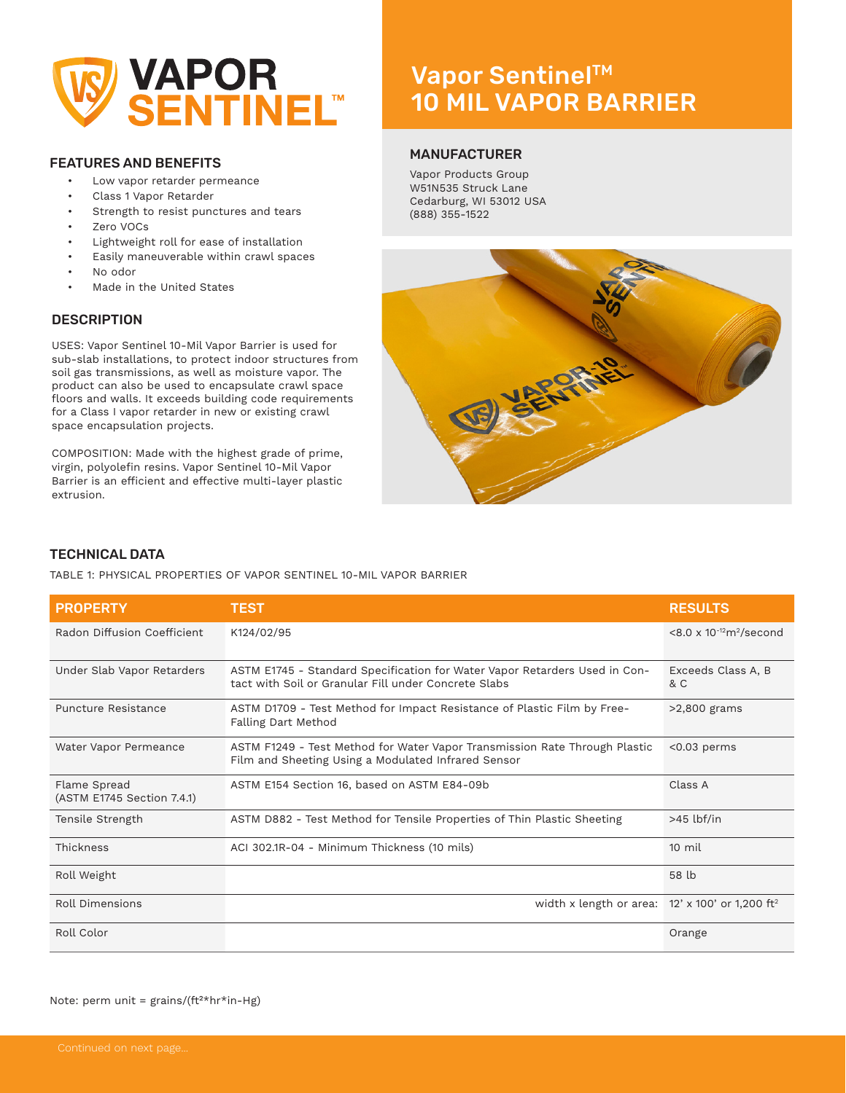

# FEATURES AND BENEFITS

- Low vapor retarder permeance
- Class 1 Vapor Retarder
- Strength to resist punctures and tears
- Zero VOCs
- Lightweight roll for ease of installation
- Easily maneuverable within crawl spaces
- No odor
- Made in the United States

# **DESCRIPTION**

USES: Vapor Sentinel 10-Mil Vapor Barrier is used for sub-slab installations, to protect indoor structures from soil gas transmissions, as well as moisture vapor. The product can also be used to encapsulate crawl space floors and walls. It exceeds building code requirements for a Class I vapor retarder in new or existing crawl space encapsulation projects.

COMPOSITION: Made with the highest grade of prime, virgin, polyolefin resins. Vapor Sentinel 10-Mil Vapor Barrier is an efficient and effective multi-layer plastic extrusion.

# Vapor Sentinel™ 10 MIL VAPOR BARRIER

## MANUFACTURER

Vapor Products Group W51N535 Struck Lane Cedarburg, WI 53012 USA (888) 355-1522



# TECHNICAL DATA

TABLE 1: PHYSICAL PROPERTIES OF VAPOR SENTINEL 10-MIL VAPOR BARRIER

| <b>PROPERTY</b>                            | <b>TEST</b>                                                                                                                        | <b>RESULTS</b>                      |
|--------------------------------------------|------------------------------------------------------------------------------------------------------------------------------------|-------------------------------------|
| Radon Diffusion Coefficient                | K124/02/95                                                                                                                         | $< 8.0 \times 10^{-12} m^2$ /second |
| Under Slab Vapor Retarders                 | ASTM E1745 - Standard Specification for Water Vapor Retarders Used in Con-<br>tact with Soil or Granular Fill under Concrete Slabs | Exceeds Class A, B<br>& C           |
| Puncture Resistance                        | ASTM D1709 - Test Method for Impact Resistance of Plastic Film by Free-<br>Falling Dart Method                                     | $>2,800$ grams                      |
| Water Vapor Permeance                      | ASTM F1249 - Test Method for Water Vapor Transmission Rate Through Plastic<br>Film and Sheeting Using a Modulated Infrared Sensor  | $< 0.03$ perms                      |
| Flame Spread<br>(ASTM E1745 Section 7.4.1) | ASTM E154 Section 16, based on ASTM E84-09b                                                                                        | Class A                             |
| Tensile Strength                           | ASTM D882 - Test Method for Tensile Properties of Thin Plastic Sheeting                                                            | $>45$ lbf/in                        |
| Thickness                                  | ACI 302.1R-04 - Minimum Thickness (10 mils)                                                                                        | $10 \text{ mil}$                    |
| Roll Weight                                |                                                                                                                                    | 58 lb                               |
| Roll Dimensions                            | width x length or area: $12' \times 100'$ or 1,200 ft <sup>2</sup>                                                                 |                                     |
| Roll Color                                 |                                                                                                                                    | Orange                              |